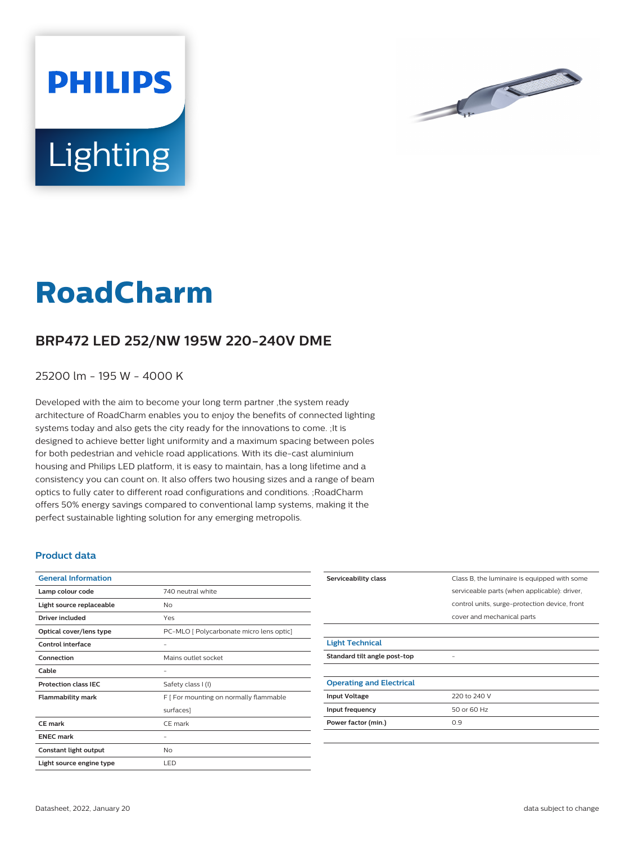



## **RoadCharm**

## **BRP472 LED 252/NW 195W 220-240V DME**

25200 lm - 195 W - 4000 K

Developed with the aim to become your long term partner ,the system ready architecture of RoadCharm enables you to enjoy the benefits of connected lighting systems today and also gets the city ready for the innovations to come. ;It is designed to achieve better light uniformity and a maximum spacing between poles for both pedestrian and vehicle road applications. With its die-cast aluminium housing and Philips LED platform, it is easy to maintain, has a long lifetime and a consistency you can count on. It also offers two housing sizes and a range of beam optics to fully cater to different road configurations and conditions. ;RoadCharm offers 50% energy savings compared to conventional lamp systems, making it the perfect sustainable lighting solution for any emerging metropolis.

## **Product data**

| <b>General Information</b>  |                                          |
|-----------------------------|------------------------------------------|
| Lamp colour code            | 740 neutral white                        |
| Light source replaceable    | No                                       |
| Driver included             | Yes                                      |
| Optical cover/lens type     | PC-MLO [ Polycarbonate micro lens optic] |
| Control interface           |                                          |
| Connection                  | Mains outlet socket                      |
| Cable                       |                                          |
| <b>Protection class IEC</b> | Safety class I (I)                       |
| <b>Flammability mark</b>    | F [ For mounting on normally flammable   |
|                             | surfaces]                                |
| <b>CE</b> mark              | CE mark                                  |
| <b>ENEC mark</b>            |                                          |
| Constant light output       | No                                       |
| Light source engine type    | LED                                      |

| Serviceability class            | Class B, the luminaire is equipped with some  |
|---------------------------------|-----------------------------------------------|
|                                 | serviceable parts (when applicable): driver,  |
|                                 | control units, surge-protection device, front |
|                                 | cover and mechanical parts                    |
|                                 |                                               |
| <b>Light Technical</b>          |                                               |
| Standard tilt angle post-top    |                                               |
|                                 |                                               |
| <b>Operating and Electrical</b> |                                               |
| <b>Input Voltage</b>            | 220 to 240 V                                  |
| Input frequency                 | 50 or 60 Hz                                   |
| Power factor (min.)             | 0.9                                           |
|                                 |                                               |